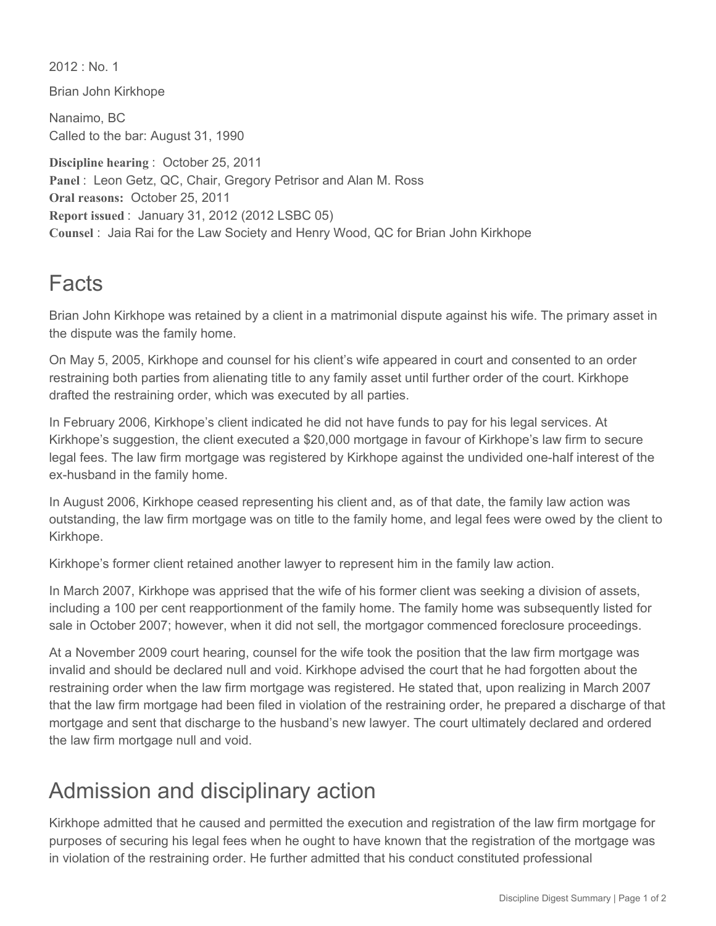$2012 \cdot$  No. 1

Brian John Kirkhope

Nanaimo, BC Called to the bar: August 31, 1990

**Discipline hearing** : October 25, 2011 **Panel** : Leon Getz, QC, Chair, Gregory Petrisor and Alan M. Ross **Oral reasons:** October 25, 2011 **Report issued** : January 31, 2012 (2012 LSBC 05) **Counsel** : Jaia Rai for the Law Society and Henry Wood, QC for Brian John Kirkhope

## Facts

Brian John Kirkhope was retained by a client in a matrimonial dispute against his wife. The primary asset in the dispute was the family home.

On May 5, 2005, Kirkhope and counsel for his client's wife appeared in court and consented to an order restraining both parties from alienating title to any family asset until further order of the court. Kirkhope drafted the restraining order, which was executed by all parties.

In February 2006, Kirkhope's client indicated he did not have funds to pay for his legal services. At Kirkhope's suggestion, the client executed a \$20,000 mortgage in favour of Kirkhope's law firm to secure legal fees. The law firm mortgage was registered by Kirkhope against the undivided one-half interest of the ex-husband in the family home.

In August 2006, Kirkhope ceased representing his client and, as of that date, the family law action was outstanding, the law firm mortgage was on title to the family home, and legal fees were owed by the client to Kirkhope.

Kirkhope's former client retained another lawyer to represent him in the family law action.

In March 2007, Kirkhope was apprised that the wife of his former client was seeking a division of assets, including a 100 per cent reapportionment of the family home. The family home was subsequently listed for sale in October 2007; however, when it did not sell, the mortgagor commenced foreclosure proceedings.

At a November 2009 court hearing, counsel for the wife took the position that the law firm mortgage was invalid and should be declared null and void. Kirkhope advised the court that he had forgotten about the restraining order when the law firm mortgage was registered. He stated that, upon realizing in March 2007 that the law firm mortgage had been filed in violation of the restraining order, he prepared a discharge of that mortgage and sent that discharge to the husband's new lawyer. The court ultimately declared and ordered the law firm mortgage null and void.

## Admission and disciplinary action

Kirkhope admitted that he caused and permitted the execution and registration of the law firm mortgage for purposes of securing his legal fees when he ought to have known that the registration of the mortgage was in violation of the restraining order. He further admitted that his conduct constituted professional